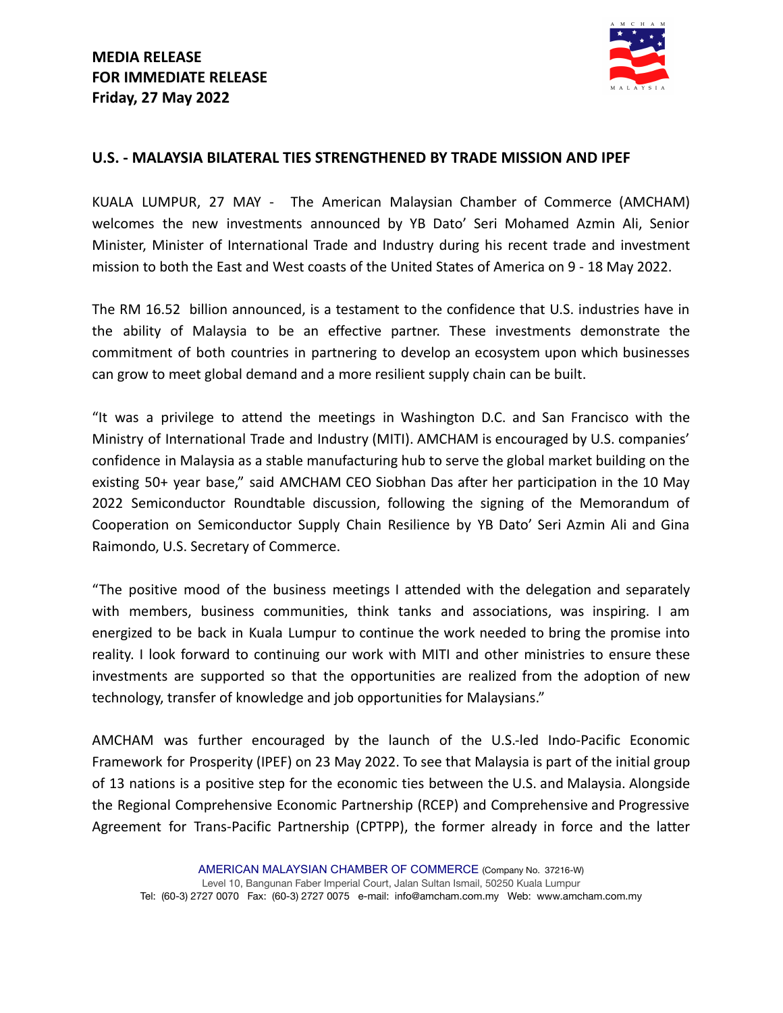

## **U.S. - MALAYSIA BILATERAL TIES STRENGTHENED BY TRADE MISSION AND IPEF**

KUALA LUMPUR, 27 MAY - The American Malaysian Chamber of Commerce (AMCHAM) welcomes the new investments announced by YB Dato' Seri Mohamed Azmin Ali, Senior Minister, Minister of International Trade and Industry during his recent trade and investment mission to both the East and West coasts of the United States of America on 9 - 18 May 2022.

The RM 16.52 billion announced, is a testament to the confidence that U.S. industries have in the ability of Malaysia to be an effective partner. These investments demonstrate the commitment of both countries in partnering to develop an ecosystem upon which businesses can grow to meet global demand and a more resilient supply chain can be built.

"It was a privilege to attend the meetings in Washington D.C. and San Francisco with the Ministry of International Trade and Industry (MITI). AMCHAM is encouraged by U.S. companies' confidence in Malaysia as a stable manufacturing hub to serve the global market building on the existing 50+ year base," said AMCHAM CEO Siobhan Das after her participation in the 10 May 2022 Semiconductor Roundtable discussion, following the signing of the Memorandum of Cooperation on Semiconductor Supply Chain Resilience by YB Dato' Seri Azmin Ali and Gina Raimondo, U.S. Secretary of Commerce.

"The positive mood of the business meetings I attended with the delegation and separately with members, business communities, think tanks and associations, was inspiring. I am energized to be back in Kuala Lumpur to continue the work needed to bring the promise into reality. I look forward to continuing our work with MITI and other ministries to ensure these investments are supported so that the opportunities are realized from the adoption of new technology, transfer of knowledge and job opportunities for Malaysians."

AMCHAM was further encouraged by the launch of the U.S.-led Indo-Pacific Economic Framework for Prosperity (IPEF) on 23 May 2022. To see that Malaysia is part of the initial group of 13 nations is a positive step for the economic ties between the U.S. and Malaysia. Alongside the Regional Comprehensive Economic Partnership (RCEP) and Comprehensive and Progressive Agreement for Trans-Pacific Partnership (CPTPP), the former already in force and the latter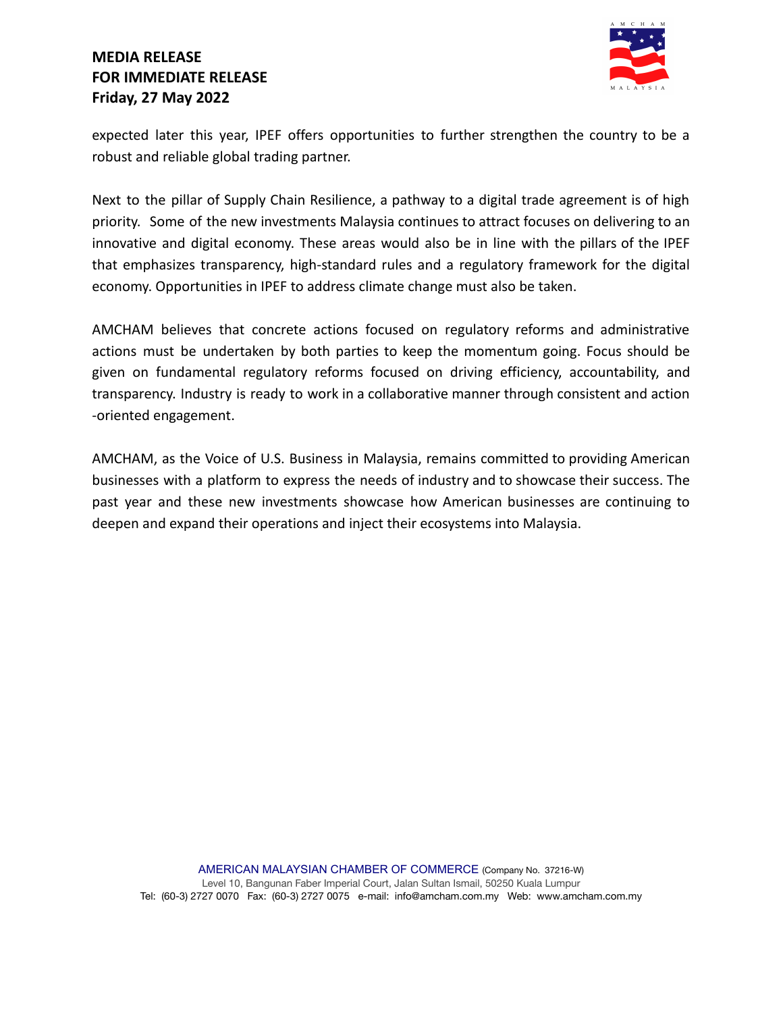# **MEDIA RELEASE FOR IMMEDIATE RELEASE Friday, 27 May 2022**



expected later this year, IPEF offers opportunities to further strengthen the country to be a robust and reliable global trading partner.

Next to the pillar of Supply Chain Resilience, a pathway to a digital trade agreement is of high priority. Some of the new investments Malaysia continues to attract focuses on delivering to an innovative and digital economy. These areas would also be in line with the pillars of the IPEF that emphasizes transparency, high-standard rules and a regulatory framework for the digital economy. Opportunities in IPEF to address climate change must also be taken.

AMCHAM believes that concrete actions focused on regulatory reforms and administrative actions must be undertaken by both parties to keep the momentum going. Focus should be given on fundamental regulatory reforms focused on driving efficiency, accountability, and transparency. Industry is ready to work in a collaborative manner through consistent and action -oriented engagement.

AMCHAM, as the Voice of U.S. Business in Malaysia, remains committed to providing American businesses with a platform to express the needs of industry and to showcase their success. The past year and these new investments showcase how American businesses are continuing to deepen and expand their operations and inject their ecosystems into Malaysia.